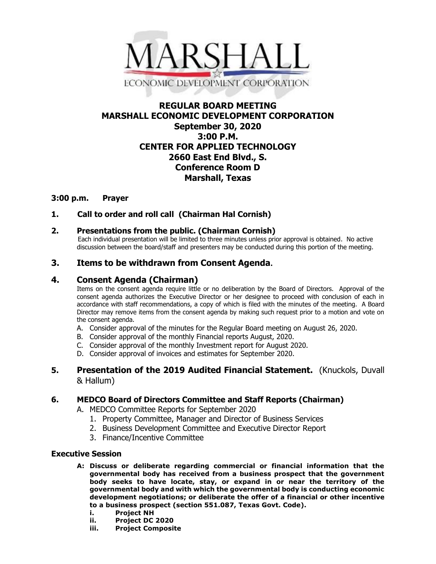

# **REGULAR BOARD MEETING MARSHALL ECONOMIC DEVELOPMENT CORPORATION September 30, 2020 3:00 P.M. CENTER FOR APPLIED TECHNOLOGY 2660 East End Blvd., S. Conference Room D Marshall, Texas**

### **3:00 p.m. Prayer**

**1. Call to order and roll call (Chairman Hal Cornish)**

### **2. Presentations from the public. (Chairman Cornish)**

 Each individual presentation will be limited to three minutes unless prior approval is obtained. No active discussion between the board/staff and presenters may be conducted during this portion of the meeting.

# **3. Items to be withdrawn from Consent Agenda.**

### **4. Consent Agenda (Chairman)**

Items on the consent agenda require little or no deliberation by the Board of Directors. Approval of the consent agenda authorizes the Executive Director or her designee to proceed with conclusion of each in accordance with staff recommendations, a copy of which is filed with the minutes of the meeting. A Board Director may remove items from the consent agenda by making such request prior to a motion and vote on the consent agenda.

- A. Consider approval of the minutes for the Regular Board meeting on August 26, 2020.
- B. Consider approval of the monthly Financial reports August, 2020.
- C. Consider approval of the monthly Investment report for August 2020.
- D. Consider approval of invoices and estimates for September 2020.

# **5. Presentation of the 2019 Audited Financial Statement.** (Knuckols, Duvall & Hallum)

### **6. MEDCO Board of Directors Committee and Staff Reports (Chairman)**

A. MEDCO Committee Reports for September 2020

- 1. Property Committee, Manager and Director of Business Services
- 2. Business Development Committee and Executive Director Report
- 3. Finance/Incentive Committee

### **Executive Session**

- **A: Discuss or deliberate regarding commercial or financial information that the governmental body has received from a business prospect that the government body seeks to have locate, stay, or expand in or near the territory of the governmental body and with which the governmental body is conducting economic development negotiations; or deliberate the offer of a financial or other incentive to a business prospect (section 551.087, Texas Govt. Code).**
	- **i. Project NH**
	- **ii. Project DC 2020**
	- **iii. Project Composite**